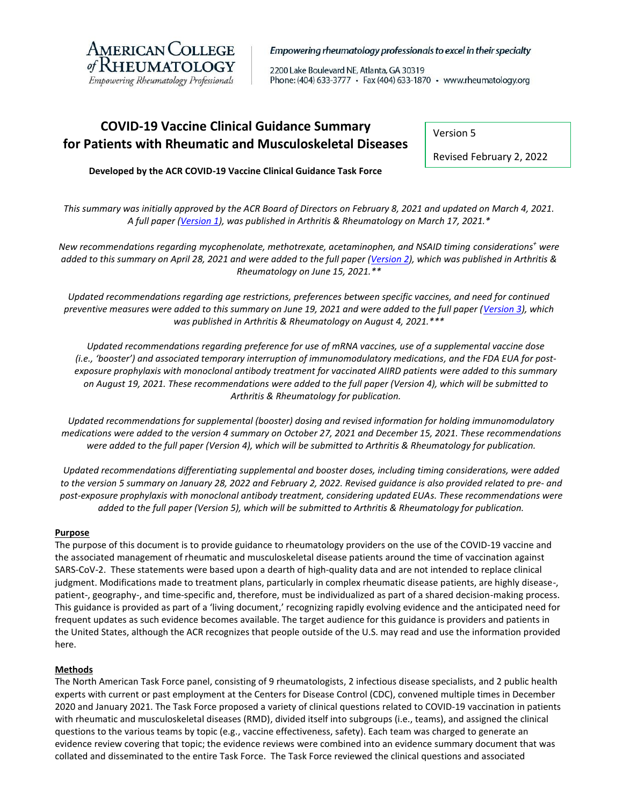

#### Empowering rheumatology professionals to excel in their specialty

2200 Lake Boulevard NE, Atlanta, GA 30319 Phone: (404) 633-3777 • Fax (404) 633-1870 • www.rheumatology.org

# **COVID-19 Vaccine Clinical Guidance Summary for Patients with Rheumatic and Musculoskeletal Diseases**

Version 5

Revised February 2, 2022

**Developed by the ACR COVID-19 Vaccine Clinical Guidance Task Force**

*This summary was initially approved by the ACR Board of Directors on February 8, 2021 and updated on March 4, 2021. A full paper [\(Version 1\)](https://onlinelibrary.wiley.com/doi/10.1002/art.41734), was published in Arthritis & Rheumatology on March 17, 2021.\**

*New recommendations regarding mycophenolate, methotrexate, acetaminophen, and NSAID timing considerations<sup>+</sup> were added to this summary on April 28, 2021 and were added to the full paper [\(Version 2\)](https://onlinelibrary.wiley.com/doi/full/10.1002/art.41877), which was published in Arthritis & Rheumatology on June 15, 2021.\*\**

Updated recommendations regarding age restrictions, preferences between specific vaccines, and need for continued *preventive measures were added to this summary on June 19, 2021 and were added to the full paper [\(Version 3\)](https://onlinelibrary.wiley.com/doi/10.1002/art.41928), which was published in Arthritis & Rheumatology on August 4, 2021.\*\*\**

*Updated recommendations regarding preference for use of mRNA vaccines, use of a supplemental vaccine dose (i.e., 'booster') and associated temporary interruption of immunomodulatory medications, and the FDA EUA for postexposure prophylaxis with monoclonal antibody treatment for vaccinated AIIRD patients were added to this summary on August 19, 2021. These recommendations were added to the full paper (Version 4), which will be submitted to Arthritis & Rheumatology for publication.*

*Updated recommendations for supplemental (booster) dosing and revised information for holding immunomodulatory medications were added to the version 4 summary on October 27, 2021 and December 15, 2021. These recommendations were added to the full paper (Version 4), which will be submitted to Arthritis & Rheumatology for publication.*

*Updated recommendations differentiating supplemental and booster doses, including timing considerations, were added to the version 5 summary on January 28, 2022 and February 2, 2022. Revised guidance is also provided related to pre- and post-exposure prophylaxis with monoclonal antibody treatment, considering updated EUAs. These recommendations were added to the full paper (Version 5), which will be submitted to Arthritis & Rheumatology for publication.* 

#### **Purpose**

The purpose of this document is to provide guidance to rheumatology providers on the use of the COVID-19 vaccine and the associated management of rheumatic and musculoskeletal disease patients around the time of vaccination against SARS-CoV-2. These statements were based upon a dearth of high-quality data and are not intended to replace clinical judgment. Modifications made to treatment plans, particularly in complex rheumatic disease patients, are highly disease-, patient-, geography-, and time-specific and, therefore, must be individualized as part of a shared decision-making process. This guidance is provided as part of a 'living document,' recognizing rapidly evolving evidence and the anticipated need for frequent updates as such evidence becomes available. The target audience for this guidance is providers and patients in the United States, although the ACR recognizes that people outside of the U.S. may read and use the information provided here.

#### **Methods**

The North American Task Force panel, consisting of 9 rheumatologists, 2 infectious disease specialists, and 2 public health experts with current or past employment at the Centers for Disease Control (CDC), convened multiple times in December 2020 and January 2021. The Task Force proposed a variety of clinical questions related to COVID-19 vaccination in patients with rheumatic and musculoskeletal diseases (RMD), divided itself into subgroups (i.e., teams), and assigned the clinical questions to the various teams by topic (e.g., vaccine effectiveness, safety). Each team was charged to generate an evidence review covering that topic; the evidence reviews were combined into an evidence summary document that was collated and disseminated to the entire Task Force. The Task Force reviewed the clinical questions and associated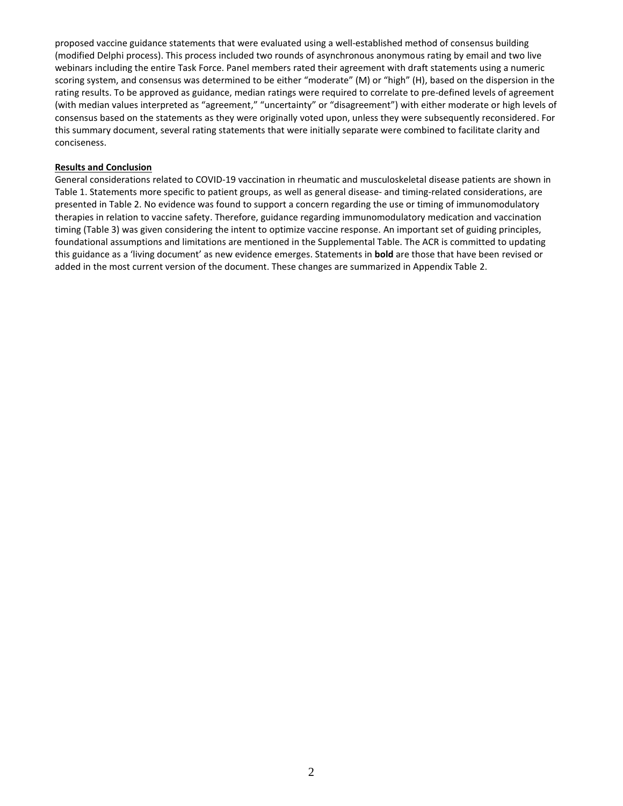proposed vaccine guidance statements that were evaluated using a well-established method of consensus building (modified Delphi process). This process included two rounds of asynchronous anonymous rating by email and two live webinars including the entire Task Force. Panel members rated their agreement with draft statements using a numeric scoring system, and consensus was determined to be either "moderate" (M) or "high" (H), based on the dispersion in the rating results. To be approved as guidance, median ratings were required to correlate to pre-defined levels of agreement (with median values interpreted as "agreement," "uncertainty" or "disagreement") with either moderate or high levels of consensus based on the statements as they were originally voted upon, unless they were subsequently reconsidered. For this summary document, several rating statements that were initially separate were combined to facilitate clarity and conciseness.

#### **Results and Conclusion**

General considerations related to COVID-19 vaccination in rheumatic and musculoskeletal disease patients are shown in Table 1. Statements more specific to patient groups, as well as general disease- and timing-related considerations, are presented in Table 2. No evidence was found to support a concern regarding the use or timing of immunomodulatory therapies in relation to vaccine safety. Therefore, guidance regarding immunomodulatory medication and vaccination timing (Table 3) was given considering the intent to optimize vaccine response. An important set of guiding principles, foundational assumptions and limitations are mentioned in the Supplemental Table. The ACR is committed to updating this guidance as a 'living document' as new evidence emerges. Statements in **bold** are those that have been revised or added in the most current version of the document. These changes are summarized in Appendix Table 2.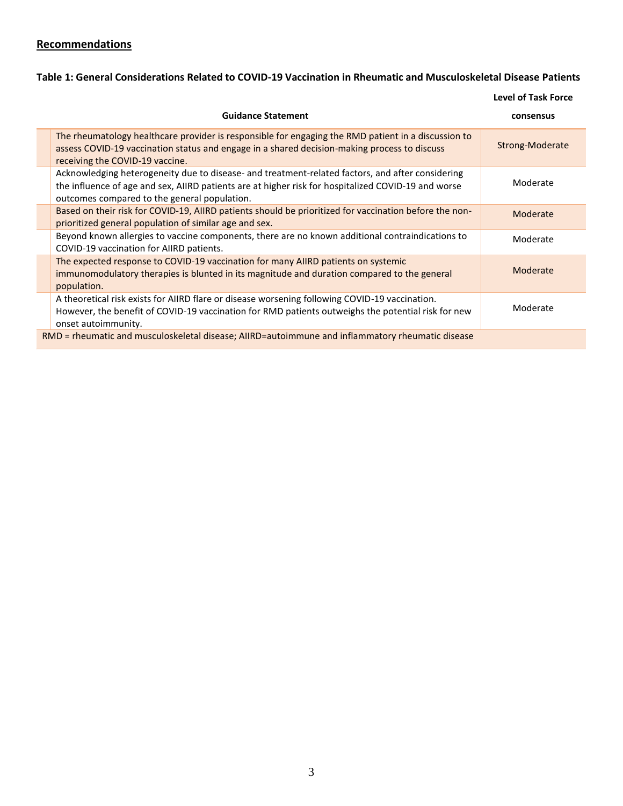# **Recommendations**

# **Table 1: General Considerations Related to COVID-19 Vaccination in Rheumatic and Musculoskeletal Disease Patients**

**Level of Task Force**

| <b>Guidance Statement</b>                                                                                                                                                                                                                               | consensus       |  |  |  |
|---------------------------------------------------------------------------------------------------------------------------------------------------------------------------------------------------------------------------------------------------------|-----------------|--|--|--|
| The rheumatology healthcare provider is responsible for engaging the RMD patient in a discussion to<br>assess COVID-19 vaccination status and engage in a shared decision-making process to discuss<br>receiving the COVID-19 vaccine.                  | Strong-Moderate |  |  |  |
| Acknowledging heterogeneity due to disease- and treatment-related factors, and after considering<br>the influence of age and sex, AIIRD patients are at higher risk for hospitalized COVID-19 and worse<br>outcomes compared to the general population. | Moderate        |  |  |  |
| Based on their risk for COVID-19, AIIRD patients should be prioritized for vaccination before the non-<br>prioritized general population of similar age and sex.                                                                                        | Moderate        |  |  |  |
| Beyond known allergies to vaccine components, there are no known additional contraindications to<br>COVID-19 vaccination for AIIRD patients.                                                                                                            | Moderate        |  |  |  |
| The expected response to COVID-19 vaccination for many AIIRD patients on systemic<br>immunomodulatory therapies is blunted in its magnitude and duration compared to the general<br>population.                                                         | Moderate        |  |  |  |
| A theoretical risk exists for AIIRD flare or disease worsening following COVID-19 vaccination.<br>However, the benefit of COVID-19 vaccination for RMD patients outweighs the potential risk for new<br>onset autoimmunity.                             | Moderate        |  |  |  |
| RMD = rheumatic and musculoskeletal disease; AIIRD=autoimmune and inflammatory rheumatic disease                                                                                                                                                        |                 |  |  |  |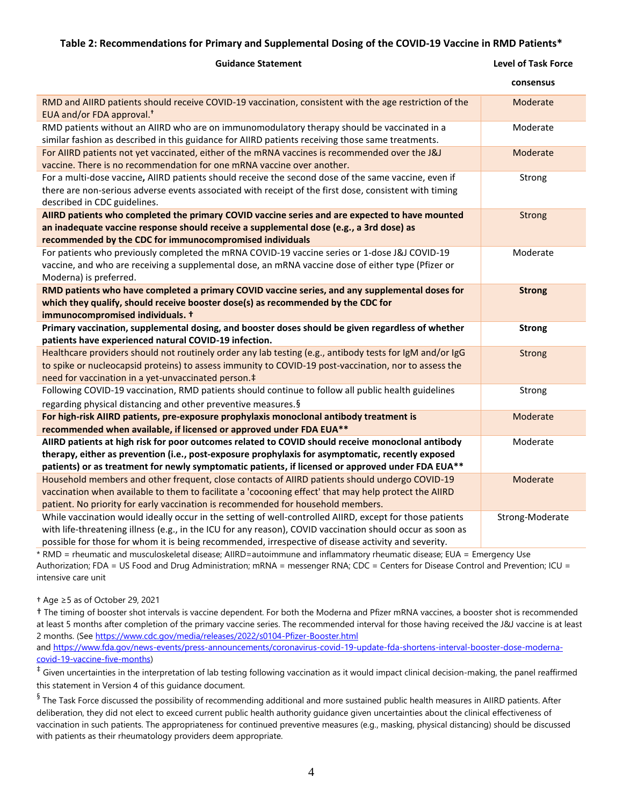## **Table 2: Recommendations for Primary and Supplemental Dosing of the COVID-19 Vaccine in RMD Patients\***

| <b>Guidance Statement</b>                                                                                                                                                                                                                                                                                   | <b>Level of Task Force</b> |
|-------------------------------------------------------------------------------------------------------------------------------------------------------------------------------------------------------------------------------------------------------------------------------------------------------------|----------------------------|
|                                                                                                                                                                                                                                                                                                             | consensus                  |
| RMD and AIIRD patients should receive COVID-19 vaccination, consistent with the age restriction of the<br>EUA and/or FDA approval. <sup>†</sup>                                                                                                                                                             | Moderate                   |
| RMD patients without an AIIRD who are on immunomodulatory therapy should be vaccinated in a<br>similar fashion as described in this guidance for AIIRD patients receiving those same treatments.                                                                                                            | Moderate                   |
| For AIIRD patients not yet vaccinated, either of the mRNA vaccines is recommended over the J&J<br>vaccine. There is no recommendation for one mRNA vaccine over another.                                                                                                                                    | Moderate                   |
| For a multi-dose vaccine, AIIRD patients should receive the second dose of the same vaccine, even if<br>there are non-serious adverse events associated with receipt of the first dose, consistent with timing<br>described in CDC guidelines.                                                              | Strong                     |
| AllRD patients who completed the primary COVID vaccine series and are expected to have mounted<br>an inadequate vaccine response should receive a supplemental dose (e.g., a 3rd dose) as<br>recommended by the CDC for immunocompromised individuals                                                       | <b>Strong</b>              |
| For patients who previously completed the mRNA COVID-19 vaccine series or 1-dose J&J COVID-19<br>vaccine, and who are receiving a supplemental dose, an mRNA vaccine dose of either type (Pfizer or<br>Moderna) is preferred.                                                                               | Moderate                   |
| RMD patients who have completed a primary COVID vaccine series, and any supplemental doses for<br>which they qualify, should receive booster dose(s) as recommended by the CDC for<br>immunocompromised individuals. +                                                                                      | <b>Strong</b>              |
| Primary vaccination, supplemental dosing, and booster doses should be given regardless of whether<br>patients have experienced natural COVID-19 infection.                                                                                                                                                  | <b>Strong</b>              |
| Healthcare providers should not routinely order any lab testing (e.g., antibody tests for IgM and/or IgG<br>to spike or nucleocapsid proteins) to assess immunity to COVID-19 post-vaccination, nor to assess the<br>need for vaccination in a yet-unvaccinated person. <sup>‡</sup>                        | <b>Strong</b>              |
| Following COVID-19 vaccination, RMD patients should continue to follow all public health guidelines<br>regarding physical distancing and other preventive measures. §                                                                                                                                       | Strong                     |
| For high-risk AIIRD patients, pre-exposure prophylaxis monoclonal antibody treatment is<br>recommended when available, if licensed or approved under FDA EUA**                                                                                                                                              | Moderate                   |
| AIIRD patients at high risk for poor outcomes related to COVID should receive monoclonal antibody<br>therapy, either as prevention (i.e., post-exposure prophylaxis for asymptomatic, recently exposed<br>patients) or as treatment for newly symptomatic patients, if licensed or approved under FDA EUA** | Moderate                   |
| Household members and other frequent, close contacts of AIIRD patients should undergo COVID-19<br>vaccination when available to them to facilitate a 'cocooning effect' that may help protect the AIIRD                                                                                                     | Moderate                   |

patient. No priority for early vaccination is recommended for household members. While vaccination would ideally occur in the setting of well-controlled AIIRD, except for those patients with life-threatening illness (e.g., in the ICU for any reason), COVID vaccination should occur as soon as possible for those for whom it is being recommended, irrespective of disease activity and severity. Strong-Moderate

\* RMD = rheumatic and musculoskeletal disease; AIIRD=autoimmune and inflammatory rheumatic disease; EUA = Emergency Use Authorization; FDA = US Food and Drug Administration; mRNA = messenger RNA; CDC = Centers for Disease Control and Prevention; ICU = intensive care unit

## † Age ≥5 as of October 29, 2021

† The timing of booster shot intervals is vaccine dependent. For both the Moderna and Pfizer mRNA vaccines, a booster shot is recommended at least 5 months after completion of the primary vaccine series. The recommended interval for those having received the J&J vaccine is at least 2 months. (See<https://www.cdc.gov/media/releases/2022/s0104-Pfizer-Booster.html> an[d https://www.fda.gov/news-events/press-announcements/coronavirus-covid-19-update-fda-shortens-interval-booster-dose-moderna](https://www.fda.gov/news-events/press-announcements/coronavirus-covid-19-update-fda-shortens-interval-booster-dose-moderna-covid-19-vaccine-five-months)[covid-19-vaccine-five-months\)](https://www.fda.gov/news-events/press-announcements/coronavirus-covid-19-update-fda-shortens-interval-booster-dose-moderna-covid-19-vaccine-five-months)

 $^\ddag$  Given uncertainties in the interpretation of lab testing following vaccination as it would impact clinical decision-making, the panel reaffirmed this statement in Version 4 of this guidance document.

 $\frac{6}{3}$  The Task Force discussed the possibility of recommending additional and more sustained public health measures in AIIRD patients. After deliberation, they did not elect to exceed current public health authority guidance given uncertainties about the clinical effectiveness of vaccination in such patients. The appropriateness for continued preventive measures (e.g., masking, physical distancing) should be discussed with patients as their rheumatology providers deem appropriate.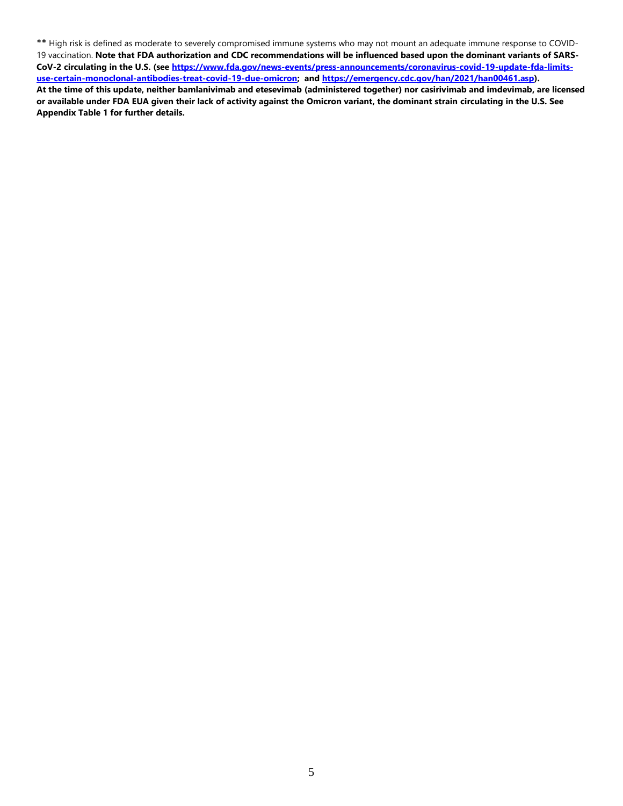\*\* High risk is defined as moderate to severely compromised immune systems who may not mount an adequate immune response to COVID-19 vaccination. **Note that FDA authorization and CDC recommendations will be influenced based upon the dominant variants of SARS-CoV-2 circulating in the U.S. (see [https://www.fda.gov/news-events/press-announcements/coronavirus-covid-19-update-fda-limits](https://www.fda.gov/news-events/press-announcements/coronavirus-covid-19-update-fda-limits-use-certain-monoclonal-antibodies-treat-covid-19-due-omicron)[use-certain-monoclonal-antibodies-treat-covid-19-due-omicron;](https://www.fda.gov/news-events/press-announcements/coronavirus-covid-19-update-fda-limits-use-certain-monoclonal-antibodies-treat-covid-19-due-omicron) and [https://emergency.cdc.gov/han/2021/han00461.asp\)](https://emergency.cdc.gov/han/2021/han00461.asp). At the time of this update, neither bamlanivimab and etesevimab (administered together) nor casirivimab and imdevimab, are licensed or available under FDA EUA given their lack of activity against the Omicron variant, the dominant strain circulating in the U.S. See Appendix Table 1 for further details.**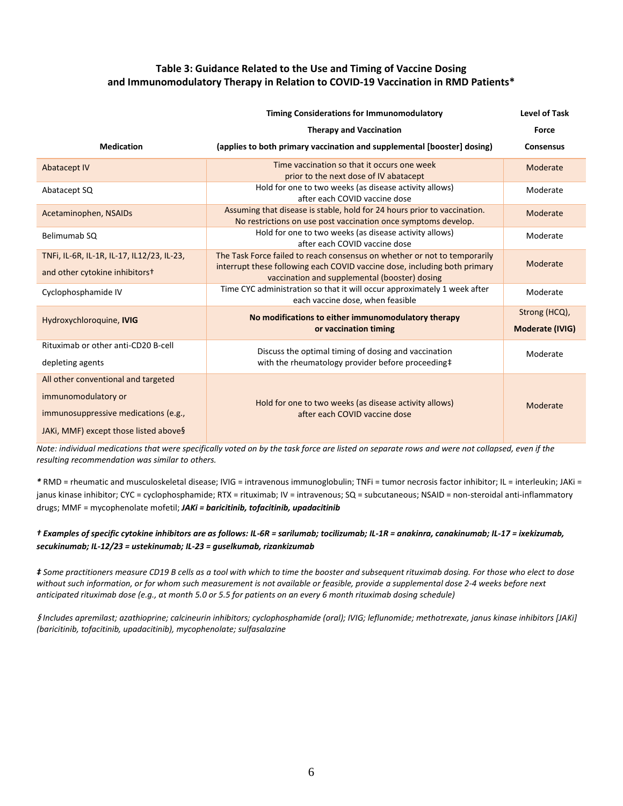## **Table 3: Guidance Related to the Use and Timing of Vaccine Dosing and Immunomodulatory Therapy in Relation to COVID-19 Vaccination in RMD Patients\***

|                                                                                                                                             | Level of Task                                                                                                                                                                                           |                                  |
|---------------------------------------------------------------------------------------------------------------------------------------------|---------------------------------------------------------------------------------------------------------------------------------------------------------------------------------------------------------|----------------------------------|
|                                                                                                                                             | <b>Therapy and Vaccination</b>                                                                                                                                                                          | Force                            |
| <b>Medication</b>                                                                                                                           | (applies to both primary vaccination and supplemental [booster] dosing]                                                                                                                                 | <b>Consensus</b>                 |
| <b>Abatacept IV</b>                                                                                                                         | Time vaccination so that it occurs one week<br>prior to the next dose of IV abatacept                                                                                                                   | Moderate                         |
| Abatacept SQ                                                                                                                                | Hold for one to two weeks (as disease activity allows)<br>after each COVID vaccine dose                                                                                                                 | Moderate                         |
| Acetaminophen, NSAIDs                                                                                                                       | Assuming that disease is stable, hold for 24 hours prior to vaccination.<br>No restrictions on use post vaccination once symptoms develop.                                                              | Moderate                         |
| Belimumab SQ                                                                                                                                | Hold for one to two weeks (as disease activity allows)<br>after each COVID vaccine dose                                                                                                                 | Moderate                         |
| TNFi, IL-6R, IL-1R, IL-17, IL12/23, IL-23,<br>and other cytokine inhibitors <sup>+</sup>                                                    | The Task Force failed to reach consensus on whether or not to temporarily<br>interrupt these following each COVID vaccine dose, including both primary<br>vaccination and supplemental (booster) dosing | Moderate                         |
| Cyclophosphamide IV                                                                                                                         | Time CYC administration so that it will occur approximately 1 week after<br>each vaccine dose, when feasible                                                                                            | Moderate                         |
| Hydroxychloroquine, IVIG                                                                                                                    | No modifications to either immunomodulatory therapy<br>or vaccination timing                                                                                                                            | Strong (HCQ),<br>Moderate (IVIG) |
| Rituximab or other anti-CD20 B-cell<br>depleting agents                                                                                     | Discuss the optimal timing of dosing and vaccination<br>with the rheumatology provider before proceeding#                                                                                               | Moderate                         |
| All other conventional and targeted<br>immunomodulatory or<br>immunosuppressive medications (e.g.,<br>JAKi, MMF) except those listed above§ | Hold for one to two weeks (as disease activity allows)<br>after each COVID vaccine dose                                                                                                                 | Moderate                         |

*Note: individual medications that were specifically voted on by the task force are listed on separate rows and were not collapsed, even if the resulting recommendation was similar to others.*

*\** RMD = rheumatic and musculoskeletal disease; IVIG = intravenous immunoglobulin; TNFi = tumor necrosis factor inhibitor; IL = interleukin; JAKi = janus kinase inhibitor; CYC = cyclophosphamide; RTX = rituximab; IV = intravenous; SQ = subcutaneous; NSAID = non-steroidal anti-inflammatory drugs; MMF = mycophenolate mofetil; *JAKi = baricitinib, tofacitinib, upadacitinib*

### *† Examples of specific cytokine inhibitors are as follows: IL-6R = sarilumab; tocilizumab; IL-1R = anakinra, canakinumab; IL-17 = ixekizumab, secukinumab; IL-12/23 = ustekinumab; IL-23 = guselkumab, rizankizumab*

*‡ Some practitioners measure CD19 B cells as a tool with which to time the booster and subsequent rituximab dosing. For those who elect to dose without such information, or for whom such measurement is not available or feasible, provide a supplemental dose 2-4 weeks before next anticipated rituximab dose (e.g., at month 5.0 or 5.5 for patients on an every 6 month rituximab dosing schedule)*

§ *Includes apremilast; azathioprine; calcineurin inhibitors; cyclophosphamide (oral); IVIG; leflunomide; methotrexate, janus kinase inhibitors [JAKi] (baricitinib, tofacitinib, upadacitinib), mycophenolate; sulfasalazine*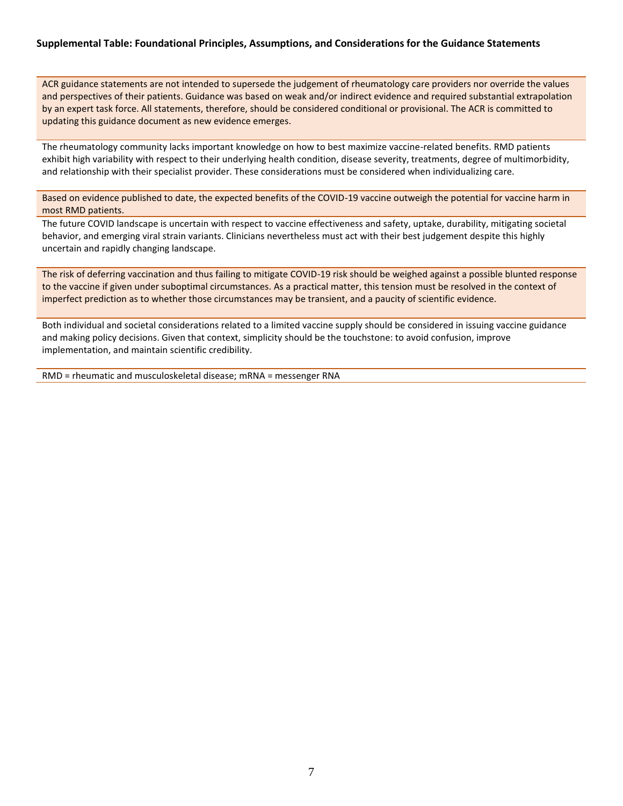## **Supplemental Table: Foundational Principles, Assumptions, and Considerations for the Guidance Statements**

ACR guidance statements are not intended to supersede the judgement of rheumatology care providers nor override the values and perspectives of their patients. Guidance was based on weak and/or indirect evidence and required substantial extrapolation by an expert task force. All statements, therefore, should be considered conditional or provisional. The ACR is committed to updating this guidance document as new evidence emerges.

The rheumatology community lacks important knowledge on how to best maximize vaccine-related benefits. RMD patients exhibit high variability with respect to their underlying health condition, disease severity, treatments, degree of multimorbidity, and relationship with their specialist provider. These considerations must be considered when individualizing care.

Based on evidence published to date, the expected benefits of the COVID-19 vaccine outweigh the potential for vaccine harm in most RMD patients.

The future COVID landscape is uncertain with respect to vaccine effectiveness and safety, uptake, durability, mitigating societal behavior, and emerging viral strain variants. Clinicians nevertheless must act with their best judgement despite this highly uncertain and rapidly changing landscape.

The risk of deferring vaccination and thus failing to mitigate COVID-19 risk should be weighed against a possible blunted response to the vaccine if given under suboptimal circumstances. As a practical matter, this tension must be resolved in the context of imperfect prediction as to whether those circumstances may be transient, and a paucity of scientific evidence.

Both individual and societal considerations related to a limited vaccine supply should be considered in issuing vaccine guidance and making policy decisions. Given that context, simplicity should be the touchstone: to avoid confusion, improve implementation, and maintain scientific credibility.

RMD = rheumatic and musculoskeletal disease; mRNA = messenger RNA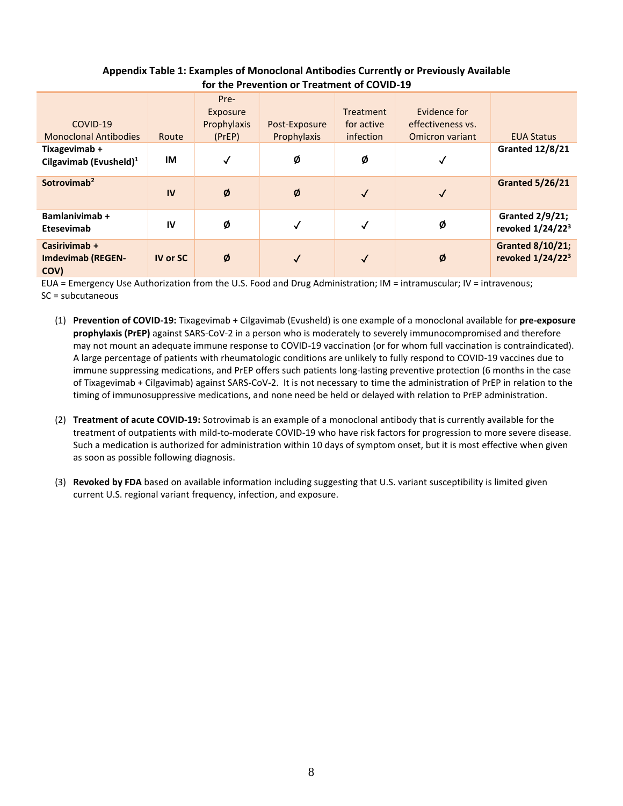| TOT LITE PTEVENTION OF THEALITIENT OF COVID-13    |                 |                                           |                              |                                                    |                                                      |                                                         |
|---------------------------------------------------|-----------------|-------------------------------------------|------------------------------|----------------------------------------------------|------------------------------------------------------|---------------------------------------------------------|
| COVID-19<br><b>Monoclonal Antibodies</b>          | Route           | Pre-<br>Exposure<br>Prophylaxis<br>(PreP) | Post-Exposure<br>Prophylaxis | <b>Treatment</b><br>for active<br><i>infection</i> | Evidence for<br>effectiveness vs.<br>Omicron variant | <b>EUA Status</b>                                       |
| Tixagevimab +<br>Cilgavimab (Evusheld) $1$        | IM              | $\checkmark$                              | Ø                            | Ø                                                  | √                                                    | <b>Granted 12/8/21</b>                                  |
| Sotrovimab <sup>2</sup>                           | IV              | Ø                                         | Ø                            | $\checkmark$                                       | $\checkmark$                                         | <b>Granted 5/26/21</b>                                  |
| <b>Bamlanivimab +</b><br>Etesevimab               | IV              | Ø                                         | $\checkmark$                 | $\checkmark$                                       | Ø                                                    | <b>Granted 2/9/21;</b><br>revoked 1/24/22 <sup>3</sup>  |
| Casirivimab +<br><b>Imdevimab (REGEN-</b><br>COV) | <b>IV or SC</b> | Ø                                         | $\checkmark$                 | $\checkmark$                                       | Ø                                                    | <b>Granted 8/10/21;</b><br>revoked 1/24/22 <sup>3</sup> |

## **Appendix Table 1: Examples of Monoclonal Antibodies Currently or Previously Available for the Prevention or Treatment of COVID-19**

EUA = Emergency Use Authorization from the U.S. Food and Drug Administration; IM = intramuscular; IV = intravenous; SC = subcutaneous

- (1) **Prevention of COVID-19:** Tixagevimab + Cilgavimab (Evusheld) is one example of a monoclonal available for **pre-exposure prophylaxis (PrEP)** against SARS-CoV-2 in a person who is moderately to severely immunocompromised and therefore may not mount an adequate immune response to COVID-19 vaccination (or for whom full vaccination is contraindicated). A large percentage of patients with rheumatologic conditions are unlikely to fully respond to COVID-19 vaccines due to immune suppressing medications, and PrEP offers such patients long-lasting preventive protection (6 months in the case of Tixagevimab + Cilgavimab) against SARS-CoV-2. It is not necessary to time the administration of PrEP in relation to the timing of immunosuppressive medications, and none need be held or delayed with relation to PrEP administration.
- (2) **Treatment of acute COVID-19:** Sotrovimab is an example of a monoclonal antibody that is currently available for the treatment of outpatients with mild-to-moderate COVID-19 who have risk factors for progression to more severe disease. Such a medication is authorized for administration within 10 days of symptom onset, but it is most effective when given as soon as possible following diagnosis.
- (3) **Revoked by FDA** based on available information including suggesting that U.S. variant susceptibility is limited given current U.S. regional variant frequency, infection, and exposure.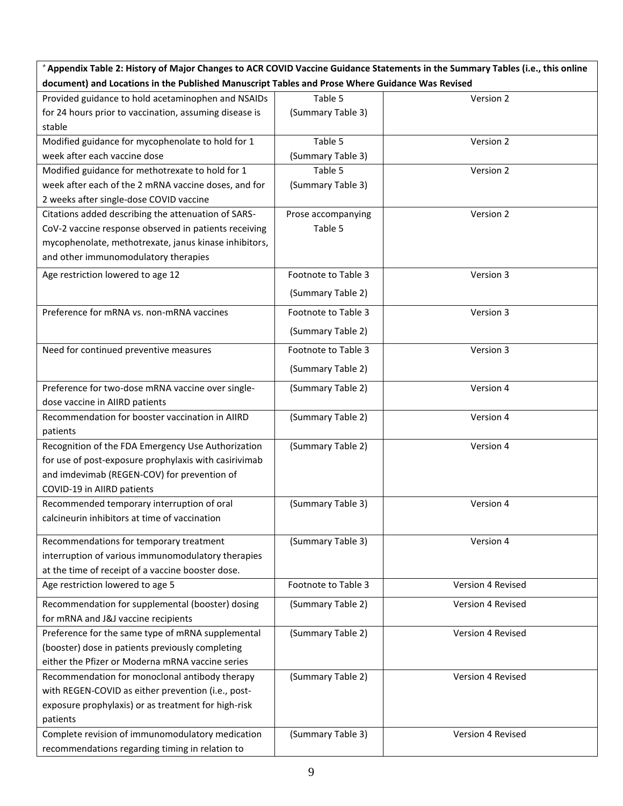*<sup>+</sup>***Appendix Table 2: History of Major Changes to ACR COVID Vaccine Guidance Statements in the Summary Tables (i.e., this online document) and Locations in the Published Manuscript Tables and Prose Where Guidance Was Revised**

| Provided guidance to hold acetaminophen and NSAIDs     | Table 5             | Version 2         |
|--------------------------------------------------------|---------------------|-------------------|
| for 24 hours prior to vaccination, assuming disease is | (Summary Table 3)   |                   |
| stable                                                 |                     |                   |
| Modified guidance for mycophenolate to hold for 1      | Table 5             | Version 2         |
| week after each vaccine dose                           | (Summary Table 3)   |                   |
| Modified guidance for methotrexate to hold for 1       | Table 5             | Version 2         |
| week after each of the 2 mRNA vaccine doses, and for   | (Summary Table 3)   |                   |
| 2 weeks after single-dose COVID vaccine                |                     |                   |
| Citations added describing the attenuation of SARS-    | Prose accompanying  | Version 2         |
| CoV-2 vaccine response observed in patients receiving  | Table 5             |                   |
| mycophenolate, methotrexate, janus kinase inhibitors,  |                     |                   |
| and other immunomodulatory therapies                   |                     |                   |
| Age restriction lowered to age 12                      | Footnote to Table 3 | Version 3         |
|                                                        | (Summary Table 2)   |                   |
|                                                        |                     |                   |
| Preference for mRNA vs. non-mRNA vaccines              | Footnote to Table 3 | Version 3         |
|                                                        | (Summary Table 2)   |                   |
| Need for continued preventive measures                 | Footnote to Table 3 | Version 3         |
|                                                        | (Summary Table 2)   |                   |
| Preference for two-dose mRNA vaccine over single-      | (Summary Table 2)   | Version 4         |
| dose vaccine in AIIRD patients                         |                     |                   |
| Recommendation for booster vaccination in AIIRD        | (Summary Table 2)   | Version 4         |
| patients                                               |                     |                   |
| Recognition of the FDA Emergency Use Authorization     | (Summary Table 2)   | Version 4         |
| for use of post-exposure prophylaxis with casirivimab  |                     |                   |
| and imdevimab (REGEN-COV) for prevention of            |                     |                   |
| COVID-19 in AIIRD patients                             |                     |                   |
| Recommended temporary interruption of oral             | (Summary Table 3)   | Version 4         |
| calcineurin inhibitors at time of vaccination          |                     |                   |
| Recommendations for temporary treatment                | (Summary Table 3)   | Version 4         |
| interruption of various immunomodulatory therapies     |                     |                   |
| at the time of receipt of a vaccine booster dose.      |                     |                   |
| Age restriction lowered to age 5                       | Footnote to Table 3 | Version 4 Revised |
| Recommendation for supplemental (booster) dosing       | (Summary Table 2)   | Version 4 Revised |
| for mRNA and J&J vaccine recipients                    |                     |                   |
| Preference for the same type of mRNA supplemental      | (Summary Table 2)   | Version 4 Revised |
| (booster) dose in patients previously completing       |                     |                   |
| either the Pfizer or Moderna mRNA vaccine series       |                     |                   |
| Recommendation for monoclonal antibody therapy         | (Summary Table 2)   | Version 4 Revised |
| with REGEN-COVID as either prevention (i.e., post-     |                     |                   |
| exposure prophylaxis) or as treatment for high-risk    |                     |                   |
| patients                                               |                     |                   |
| Complete revision of immunomodulatory medication       | (Summary Table 3)   | Version 4 Revised |
| recommendations regarding timing in relation to        |                     |                   |